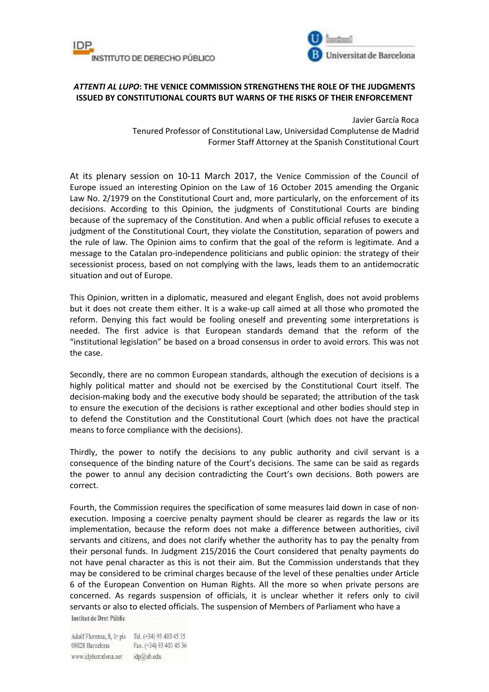



## *ATTENTI AL LUPO***: THE VENICE COMMISSION STRENGTHENS THE ROLE OF THE JUDGMENTS ISSUED BY CONSTITUTIONAL COURTS BUT WARNS OF THE RISKS OF THEIR ENFORCEMENT**

Javier García Roca Tenured Professor of Constitutional Law, Universidad Complutense de Madrid Former Staff Attorney at the Spanish Constitutional Court

At its plenary session on 10-11 March 2017, the Venice Commission of the Council of Europe issued an interesting Opinion on the Law of 16 October 2015 amending the Organic Law No. 2/1979 on the Constitutional Court and, more particularly, on the enforcement of its decisions. According to this Opinion, the judgments of Constitutional Courts are binding because of the supremacy of the Constitution. And when a public official refuses to execute a judgment of the Constitutional Court, they violate the Constitution, separation of powers and the rule of law. The Opinion aims to confirm that the goal of the reform is legitimate. And a message to the Catalan pro-independence politicians and public opinion: the strategy of their secessionist process, based on not complying with the laws, leads them to an antidemocratic situation and out of Europe.

This Opinion, written in a diplomatic, measured and elegant English, does not avoid problems but it does not create them either. It is a wake-up call aimed at all those who promoted the reform. Denying this fact would be fooling oneself and preventing some interpretations is needed. The first advice is that European standards demand that the reform of the "institutional legislation" be based on a broad consensus in order to avoid errors. This was not the case.

Secondly, there are no common European standards, although the execution of decisions is a highly political matter and should not be exercised by the Constitutional Court itself. The decision-making body and the executive body should be separated; the attribution of the task to ensure the execution of the decisions is rather exceptional and other bodies should step in to defend the Constitution and the Constitutional Court (which does not have the practical means to force compliance with the decisions).

Thirdly, the power to notify the decisions to any public authority and civil servant is a consequence of the binding nature of the Court's decisions. The same can be said as regards the power to annul any decision contradicting the Court's own decisions. Both powers are correct.

Fourth, the Commission requires the specification of some measures laid down in case of nonexecution. Imposing a coercive penalty payment should be clearer as regards the law or its implementation, because the reform does not make a difference between authorities, civil servants and citizens, and does not clarify whether the authority has to pay the penalty from their personal funds. In Judgment 215/2016 the Court considered that penalty payments do not have penal character as this is not their aim. But the Commission understands that they may be considered to be criminal charges because of the level of these penalties under Article 6 of the European Convention on Human Rights. All the more so when private persons are concerned. As regards suspension of officials, it is unclear whether it refers only to civil servants or also to elected officials. The suspension of Members of Parliament who have a Institut de Dret Públic

Adolf Florensa, 8, Ir pis Tel. (+34) 93 403 45 35 08028 Barcelona Fax. (+34) 93 403 45 36 www.idpbarcelona.net idp@ub.edu